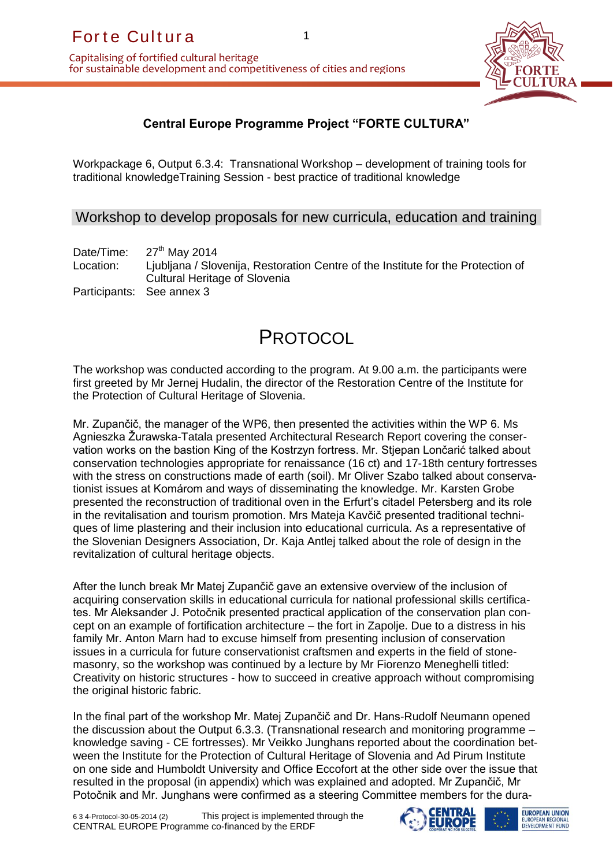

## **Central Europe Programme Project "FORTE CULTURA"**

Workpackage 6, Output 6.3.4: Transnational Workshop – development of training tools for traditional knowledgeTraining Session - best practice of traditional knowledge

Workshop to develop proposals for new curricula, education and training

Date/Time:  $27<sup>th</sup>$  May 2014 Location: Ljubljana / Slovenija, Restoration Centre of the Institute for the Protection of Cultural Heritage of Slovenia Participants: See annex 3

# PROTOCOL

The workshop was conducted according to the program. At 9.00 a.m. the participants were first greeted by Mr Jernej Hudalin, the director of the Restoration Centre of the Institute for the Protection of Cultural Heritage of Slovenia.

For the Cullituria<br>
apitalising of fortified cultural heritage<br>
or sustainable development and competitiveness of cities and<br>
Central Europe Programme Project "Fivoricalization"<br>
Workpackage 6, Output 6.3.4: Transnational Mr. Zupančič, the manager of the WP6, then presented the activities within the WP 6. Ms Agnieszka Žurawska-Tatala presented Architectural Research Report covering the conservation works on the bastion King of the Kostrzyn fortress. Mr. Stjepan Lončarić talked about conservation technologies appropriate for renaissance (16 ct) and 17-18th century fortresses with the stress on constructions made of earth (soil). Mr Oliver Szabo talked about conservationist issues at Komárom and ways of disseminating the knowledge. Mr. Karsten Grobe presented the reconstruction of traditional oven in the Erfurt's citadel Petersberg and its role in the revitalisation and tourism promotion. Mrs Mateja Kavčič presented traditional techniques of lime plastering and their inclusion into educational curricula. As a representative of the Slovenian Designers Association, Dr. Kaja Antlej talked about the role of design in the revitalization of cultural heritage objects.

After the lunch break Mr Matej Zupančič gave an extensive overview of the inclusion of acquiring conservation skills in educational curricula for national professional skills certificates. Mr Aleksander J. Potočnik presented practical application of the conservation plan concept on an example of fortification architecture – the fort in Zapolje. Due to a distress in his family Mr. Anton Marn had to excuse himself from presenting inclusion of conservation issues in a curricula for future conservationist craftsmen and experts in the field of stonemasonry, so the workshop was continued by a lecture by Mr Fiorenzo Meneghelli titled: Creativity on historic structures - how to succeed in creative approach without compromising the original historic fabric.

In the final part of the workshop Mr. Matej Zupančič and Dr. Hans-Rudolf Neumann opened the discussion about the Output 6.3.3. (Transnational research and monitoring programme – knowledge saving - CE fortresses). Mr Veikko Junghans reported about the coordination between the Institute for the Protection of Cultural Heritage of Slovenia and Ad Pirum Institute on one side and Humboldt University and Office Eccofort at the other side over the issue that resulted in the proposal (in appendix) which was explained and adopted. Mr Zupančič, Mr Potočnik and Mr. Junghans were confirmed as a steering Committee members for the dura-



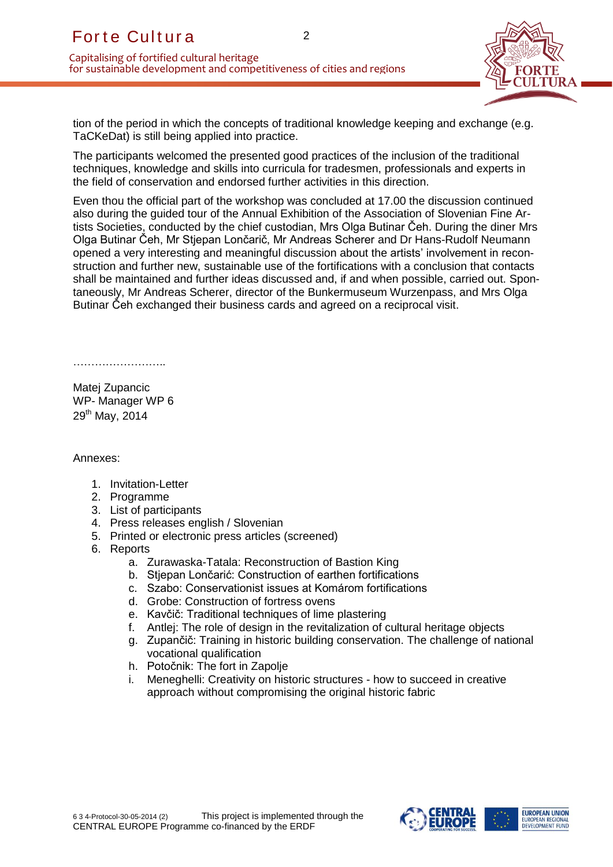

tion of the period in which the concepts of traditional knowledge keeping and exchange (e.g. TaCKeDat) is still being applied into practice.

The participants welcomed the presented good practices of the inclusion of the traditional techniques, knowledge and skills into curricula for tradesmen, professionals and experts in the field of conservation and endorsed further activities in this direction.

For the Cul thur a<br>
apitalising of fortified cultural heritage<br>
corsustainable development and competitiveness of cities and<br>
tion of the period in which the corcepts of traditional knowing<br>
TaCk6Dat) is still being applie Even thou the official part of the workshop was concluded at 17.00 the discussion continued also during the guided tour of the Annual Exhibition of the Association of Slovenian Fine Artists Societies, conducted by the chief custodian, Mrs Olga Butinar Čeh. During the diner Mrs Olga Butinar Čeh, Mr Stjepan Lončarič, Mr Andreas Scherer and Dr Hans-Rudolf Neumann opened a very interesting and meaningful discussion about the artists' involvement in reconstruction and further new, sustainable use of the fortifications with a conclusion that contacts shall be maintained and further ideas discussed and, if and when possible, carried out. Spontaneously, Mr Andreas Scherer, director of the Bunkermuseum Wurzenpass, and Mrs Olga Butinar Čeh exchanged their business cards and agreed on a reciprocal visit.

………………………………

Matej Zupancic WP- Manager WP 6 29<sup>th</sup> May, 2014

Annexes:

- 1. Invitation-Letter
- 2. Programme
- 3. List of participants
- 4. Press releases english / Slovenian
- 5. Printed or electronic press articles (screened)
- 6. Reports
	- a. Zurawaska-Tatala: Reconstruction of Bastion King
	- b. Stiepan Lončarić: Construction of earthen fortifications
	- c. Szabo: Conservationist issues at Komárom fortifications
	- d. Grobe: Construction of fortress ovens
	- e. Kavčič: Traditional techniques of lime plastering
	- f. Antlej: The role of design in the revitalization of cultural heritage objects
	- g. Zupančič: Training in historic building conservation. The challenge of national vocational qualification
	- h. Potočnik: The fort in Zapolje
	- i. Meneghelli: Creativity on historic structures how to succeed in creative approach without compromising the original historic fabric



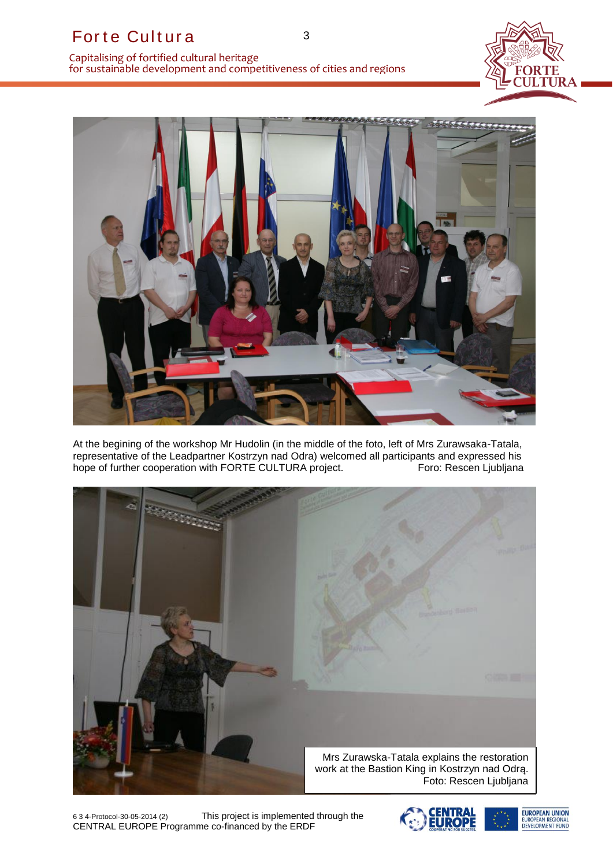



At the begining of the workshop Mr Hudolin (in the middle of the foto, left of Mrs Zurawsaka-Tatala, representative of the Leadpartner Kostrzyn nad Odra) welcomed all participants and expressed his<br>hope of further cooperation with FORTE CULTURA project.<br>Foro: Rescen Ljubljana hope of further cooperation with FORTE CULTURA project.



6 3 4-Protocol-30-05-2014 (2) This project is implemented through the



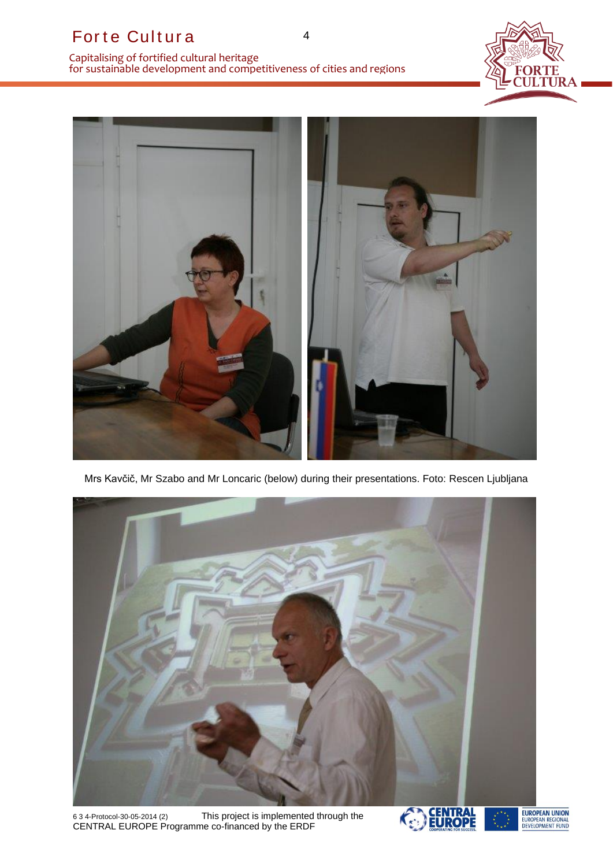



Mrs Kavčič, Mr Szabo and Mr Loncaric (below) during their presentations. Foto: Rescen Ljubljana



6 3 4-Protocol-30-05-2014 (2) This project is implemented through the



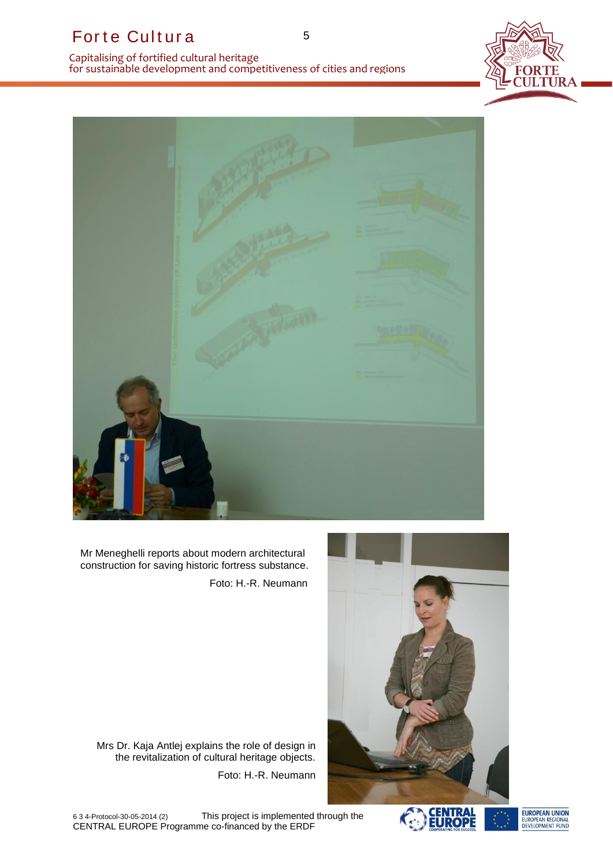

For the Cultural partiage<br>
or sustainable development and competitiveness of cities and<br>
or sustainable development and competitiveness of cities and<br>
Mr. Mencgholli reports about modern architectural<br>
Mr. Mencgholli repor

Mr Meneghelli reports about modern architectural construction for saving historic fortress substance. Foto: H.-R. Neumann



Mrs Dr. Kaja Antlej explains the role of design in the revitalization of cultural heritage objects.

Foto: H.-R. Neumann